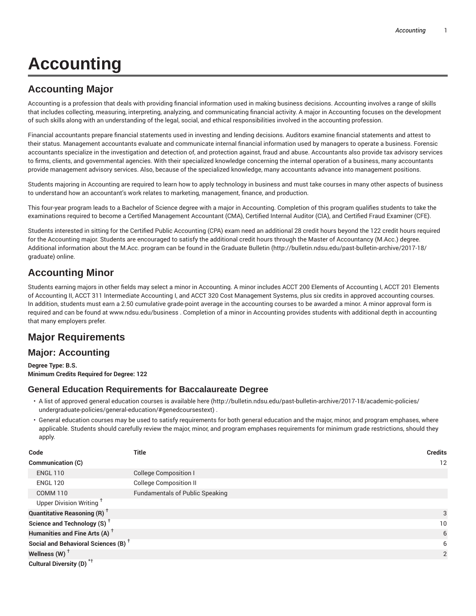# **Accounting**

# **Accounting Major**

Accounting is a profession that deals with providing financial information used in making business decisions. Accounting involves a range of skills that includes collecting, measuring, interpreting, analyzing, and communicating financial activity. A major in Accounting focuses on the development of such skills along with an understanding of the legal, social, and ethical responsibilities involved in the accounting profession.

Financial accountants prepare financial statements used in investing and lending decisions. Auditors examine financial statements and attest to their status. Management accountants evaluate and communicate internal financial information used by managers to operate a business. Forensic accountants specialize in the investigation and detection of, and protection against, fraud and abuse. Accountants also provide tax advisory services to firms, clients, and governmental agencies. With their specialized knowledge concerning the internal operation of a business, many accountants provide management advisory services. Also, because of the specialized knowledge, many accountants advance into management positions.

Students majoring in Accounting are required to learn how to apply technology in business and must take courses in many other aspects of business to understand how an accountant's work relates to marketing, management, finance, and production.

This four-year program leads to a Bachelor of Science degree with a major in Accounting. Completion of this program qualifies students to take the examinations required to become a Certified Management Accountant (CMA), Certified Internal Auditor (CIA), and Certified Fraud Examiner (CFE).

Students interested in sitting for the Certified Public Accounting (CPA) exam need an additional 28 credit hours beyond the 122 credit hours required for the Accounting major. Students are encouraged to satisfy the additional credit hours through the Master of Accountancy (M.Acc.) degree. Additional information about the M.Acc. program can be found in the Graduate Bulletin (http://bulletin.ndsu.edu/past-bulletin-archive/2017-18/ graduate) online.

# **Accounting Minor**

Students earning majors in other fields may select a minor in Accounting. A minor includes ACCT 200 Elements of Accounting I, ACCT 201 Elements of Accounting II, ACCT 311 Intermediate Accounting I, and ACCT 320 Cost Management Systems, plus six credits in approved accounting courses. In addition, students must earn a 2.50 cumulative grade-point average in the accounting courses to be awarded a minor. A minor approval form is required and can be found at www.ndsu.edu/business . Completion of a minor in Accounting provides students with additional depth in accounting that many employers prefer.

# **Major Requirements**

## **Major: Accounting**

**Degree Type: B.S. Minimum Credits Required for Degree: 122**

## **General Education Requirements for Baccalaureate Degree**

- A list of approved general education courses is available here (http://bulletin.ndsu.edu/past-bulletin-archive/2017-18/academic-policies/ undergraduate-policies/general-education/#genedcoursestext) .
- General education courses may be used to satisfy requirements for both general education and the major, minor, and program emphases, where applicable. Students should carefully review the major, minor, and program emphases requirements for minimum grade restrictions, should they apply.

| Code                                            | Title                                  | <b>Credits</b> |
|-------------------------------------------------|----------------------------------------|----------------|
| <b>Communication (C)</b>                        |                                        | 12             |
| <b>ENGL 110</b>                                 | <b>College Composition I</b>           |                |
| <b>ENGL 120</b>                                 | <b>College Composition II</b>          |                |
| <b>COMM 110</b>                                 | <b>Fundamentals of Public Speaking</b> |                |
| Upper Division Writing <sup>†</sup>             |                                        |                |
| <b>Quantitative Reasoning (R)</b> <sup>†</sup>  |                                        | 3              |
| Science and Technology (S) <sup>+</sup>         |                                        | 10             |
| Humanities and Fine Arts (A) <sup>+</sup>       |                                        | 6              |
| Social and Behavioral Sciences (B) <sup>+</sup> |                                        | 6              |
| Wellness (W) $^{\dagger}$                       |                                        | 2              |
| Cultural Diversity (D) <sup>*†</sup>            |                                        |                |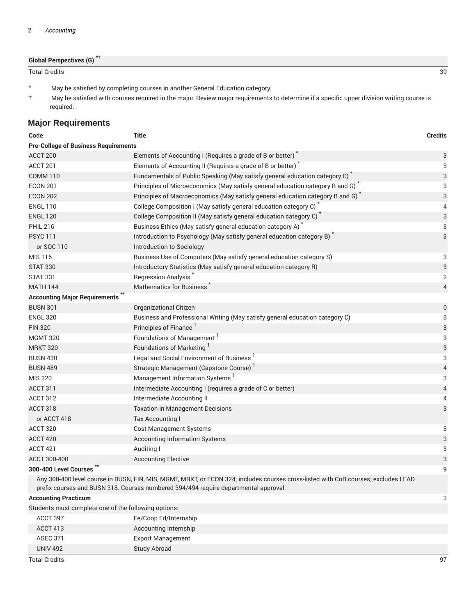| <b>Global Perspectives (G)<sup>*†</sup></b> |  |
|---------------------------------------------|--|
|---------------------------------------------|--|

Total Credits 39

- \* May be satisfied by completing courses in another General Education category.
- † May be satisfied with courses required in the major. Review major requirements to determine if a specific upper division writing course is required.

## **Major Requirements**

| Code                                                 | <b>Title</b>                                                                                                                                                                                                               | <b>Credits</b>            |
|------------------------------------------------------|----------------------------------------------------------------------------------------------------------------------------------------------------------------------------------------------------------------------------|---------------------------|
| <b>Pre-College of Business Requirements</b>          |                                                                                                                                                                                                                            |                           |
| ACCT 200                                             | Elements of Accounting I (Requires a grade of B or better)                                                                                                                                                                 | $\ensuremath{\mathsf{3}}$ |
| ACCT 201                                             | Elements of Accounting II (Requires a grade of B or better)                                                                                                                                                                | 3                         |
| <b>COMM 110</b>                                      | Fundamentals of Public Speaking (May satisfy general education category C)                                                                                                                                                 | 3                         |
| <b>ECON 201</b>                                      | Principles of Microeconomics (May satisfy general education category B and G) $\hat{ }$                                                                                                                                    | 3                         |
| <b>ECON 202</b>                                      | Principles of Macroeconomics (May satisfy general education category B and G)                                                                                                                                              | 3                         |
| <b>ENGL 110</b>                                      | College Composition I (May satisfy general education category C)                                                                                                                                                           | 4                         |
| <b>ENGL 120</b>                                      | College Composition II (May satisfy general education category C) <sup>*</sup>                                                                                                                                             | 3                         |
| <b>PHIL 216</b>                                      | Business Ethics (May satisfy general education category A)                                                                                                                                                                 | 3                         |
| <b>PSYC111</b>                                       | Introduction to Psychology (May satisfy general education category B)                                                                                                                                                      | 3                         |
| or SOC 110                                           | Introduction to Sociology                                                                                                                                                                                                  |                           |
| MIS 116                                              | Business Use of Computers (May satisfy general education category S)                                                                                                                                                       | 3                         |
| <b>STAT 330</b>                                      | Introductory Statistics (May satisfy general education category R)                                                                                                                                                         | 3                         |
| <b>STAT 331</b>                                      | Regression Analysis <sup>®</sup>                                                                                                                                                                                           | $\overline{2}$            |
| <b>MATH 144</b>                                      | <b>Mathematics for Business</b>                                                                                                                                                                                            | $\overline{4}$            |
| <b>Accounting Major Requirements</b>                 |                                                                                                                                                                                                                            |                           |
| <b>BUSN 301</b>                                      | Organizational Citizen                                                                                                                                                                                                     | $\mathbf 0$               |
| <b>ENGL 320</b>                                      | Business and Professional Writing (May satisfy general education category C)                                                                                                                                               | 3                         |
| <b>FIN 320</b>                                       | Principles of Finance                                                                                                                                                                                                      | 3                         |
| <b>MGMT 320</b>                                      | Foundations of Management <sup>1</sup>                                                                                                                                                                                     | 3                         |
| <b>MRKT 320</b>                                      | Foundations of Marketing                                                                                                                                                                                                   | $\sqrt{3}$                |
| <b>BUSN 430</b>                                      | Legal and Social Environment of Business <sup>1</sup>                                                                                                                                                                      | 3                         |
| <b>BUSN 489</b>                                      | Strategic Management (Capstone Course) <sup>1</sup>                                                                                                                                                                        | $\overline{4}$            |
| <b>MIS 320</b>                                       | Management Information Systems <sup>1</sup>                                                                                                                                                                                | 3                         |
| ACCT 311                                             | Intermediate Accounting I (requires a grade of C or better)                                                                                                                                                                | $\overline{4}$            |
| ACCT 312                                             | Intermediate Accounting II                                                                                                                                                                                                 | 4                         |
| ACCT 318                                             | <b>Taxation in Management Decisions</b>                                                                                                                                                                                    | 3                         |
| or ACCT 418                                          | Tax Accounting I                                                                                                                                                                                                           |                           |
| ACCT 320                                             | <b>Cost Management Systems</b>                                                                                                                                                                                             | 3                         |
| ACCT 420                                             | <b>Accounting Information Systems</b>                                                                                                                                                                                      | 3                         |
| ACCT 421                                             | Auditing I                                                                                                                                                                                                                 | 3                         |
| ACCT 300-400                                         | <b>Accounting Elective</b>                                                                                                                                                                                                 | 3                         |
| 300-400 Level Courses                                |                                                                                                                                                                                                                            | 9                         |
|                                                      | Any 300-400 level course in BUSN, FIN, MIS, MGMT, MRKT, or ECON 324; includes courses cross-listed with CoB courses; excludes LEAD<br>prefix courses and BUSN 318. Courses numbered 394/494 require departmental approval. |                           |
| <b>Accounting Practicum</b>                          |                                                                                                                                                                                                                            | 3                         |
| Students must complete one of the following options: |                                                                                                                                                                                                                            |                           |
| ACCT 397                                             | Fe/Coop Ed/Internship                                                                                                                                                                                                      |                           |
| ACCT 413                                             | Accounting Internship                                                                                                                                                                                                      |                           |

AGEC 371 Export Management UNIV 492 Study Abroad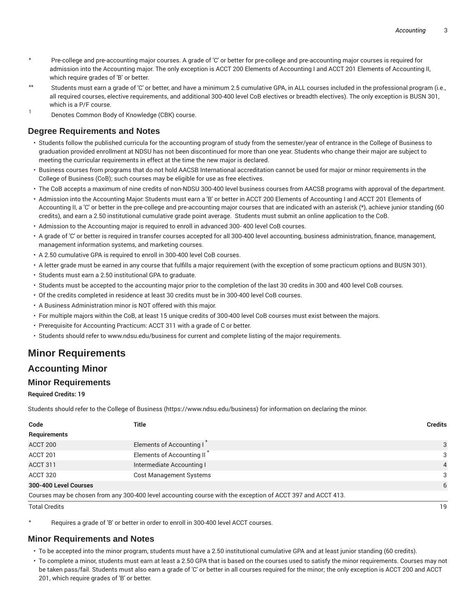- \* Pre-college and pre-accounting major courses. A grade of 'C' or better for pre-college and pre-accounting major courses is required for admission into the Accounting major. The only exception is ACCT 200 Elements of Accounting I and ACCT 201 Elements of Accounting II, which require grades of 'B' or better.
- Students must earn a grade of 'C' or better, and have a minimum 2.5 cumulative GPA, in ALL courses included in the professional program (i.e., all required courses, elective requirements, and additional 300-400 level CoB electives or breadth electives). The only exception is BUSN 301, which is a P/F course.
- 1 Denotes Common Body of Knowledge (CBK) course.

## **Degree Requirements and Notes**

- Students follow the published curricula for the accounting program of study from the semester/year of entrance in the College of Business to graduation provided enrollment at NDSU has not been discontinued for more than one year. Students who change their major are subject to meeting the curricular requirements in effect at the time the new major is declared.
- Business courses from programs that do not hold AACSB International accreditation cannot be used for major or minor requirements in the College of Business (CoB); such courses may be eligible for use as free electives.
- The CoB accepts a maximum of nine credits of non-NDSU 300-400 level business courses from AACSB programs with approval of the department.
- Admission into the Accounting Major: Students must earn a 'B' or better in ACCT 200 Elements of Accounting I and ACCT 201 Elements of Accounting II, a 'C' or better in the pre-college and pre-accounting major courses that are indicated with an asterisk (\*), achieve junior standing (60 credits), and earn a 2.50 institutional cumulative grade point average. Students must submit an online application to the CoB.
- Admission to the Accounting major is required to enroll in advanced 300- 400 level CoB courses.
- A grade of 'C' or better is required in transfer courses accepted for all 300-400 level accounting, business administration, finance, management, management information systems, and marketing courses.
- A 2.50 cumulative GPA is required to enroll in 300-400 level CoB courses.
- A letter grade must be earned in any course that fulfills a major requirement (with the exception of some practicum options and BUSN 301).
- Students must earn a 2.50 institutional GPA to graduate.
- Students must be accepted to the accounting major prior to the completion of the last 30 credits in 300 and 400 level CoB courses.
- Of the credits completed in residence at least 30 credits must be in 300-400 level CoB courses.
- A Business Administration minor is NOT offered with this major.
- For multiple majors within the CoB, at least 15 unique credits of 300-400 level CoB courses must exist between the majors.
- Prerequisite for Accounting Practicum: ACCT 311 with a grade of C or better.
- Students should refer to www.ndsu.edu/business for current and complete listing of the major requirements.

## **Minor Requirements**

### **Accounting Minor**

### **Minor Requirements**

#### **Required Credits: 19**

Students should refer to the College of Business (https://www.ndsu.edu/business) for information on declaring the minor.

| Code                  | Title                                                                                                       | <b>Credits</b> |
|-----------------------|-------------------------------------------------------------------------------------------------------------|----------------|
| Requirements          |                                                                                                             |                |
| ACCT 200              | Elements of Accounting I                                                                                    | 3              |
| ACCT 201              | Elements of Accounting II <sup>'</sup>                                                                      | 3              |
| ACCT 311              | Intermediate Accounting I                                                                                   | $\overline{4}$ |
| ACCT 320              | Cost Management Systems                                                                                     | 3              |
| 300-400 Level Courses |                                                                                                             | 6              |
|                       | Courses may be chosen from any 300-400 level accounting course with the exception of ACCT 397 and ACCT 413. |                |
| <b>Total Credits</b>  |                                                                                                             | 19             |

Requires a grade of 'B' or better in order to enroll in 300-400 level ACCT courses.

#### **Minor Requirements and Notes**

- To be accepted into the minor program, students must have a 2.50 institutional cumulative GPA and at least junior standing (60 credits).
- To complete a minor, students must earn at least a 2.50 GPA that is based on the courses used to satisfy the minor requirements. Courses may not be taken pass/fail. Students must also earn a grade of 'C' or better in all courses required for the minor; the only exception is ACCT 200 and ACCT 201, which require grades of 'B' or better.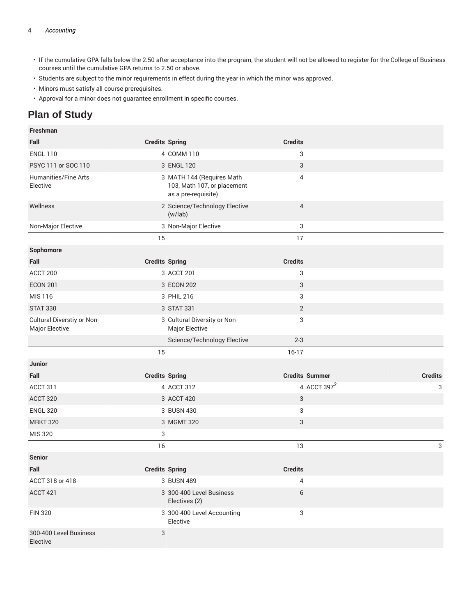#### 4 *Accounting*

- If the cumulative GPA falls below the 2.50 after acceptance into the program, the student will not be allowed to register for the College of Business courses until the cumulative GPA returns to 2.50 or above.
- Students are subject to the minor requirements in effect during the year in which the minor was approved.
- Minors must satisfy all course prerequisites.
- Approval for a minor does not guarantee enrollment in specific courses.

## **Plan of Study**

| Freshman                                     |                       |                                                                                 |                         |                |
|----------------------------------------------|-----------------------|---------------------------------------------------------------------------------|-------------------------|----------------|
| Fall                                         | <b>Credits Spring</b> |                                                                                 | <b>Credits</b>          |                |
| <b>ENGL 110</b>                              |                       | 4 COMM 110                                                                      | 3                       |                |
| PSYC 111 or SOC 110                          |                       | 3 ENGL 120                                                                      | 3                       |                |
| <b>Humanities/Fine Arts</b><br>Elective      |                       | 3 MATH 144 (Requires Math<br>103, Math 107, or placement<br>as a pre-requisite) | 4                       |                |
| Wellness                                     |                       | 2 Science/Technology Elective<br>(w/lab)                                        | $\overline{4}$          |                |
| Non-Major Elective                           |                       | 3 Non-Major Elective                                                            | 3                       |                |
|                                              | 15                    |                                                                                 | 17                      |                |
| Sophomore                                    |                       |                                                                                 |                         |                |
| Fall                                         | <b>Credits Spring</b> |                                                                                 | <b>Credits</b>          |                |
| ACCT 200                                     |                       | 3 ACCT 201                                                                      | 3                       |                |
| <b>ECON 201</b>                              |                       | 3 ECON 202                                                                      | 3                       |                |
| MIS 116                                      |                       | 3 PHIL 216                                                                      | 3                       |                |
| <b>STAT 330</b>                              |                       | 3 STAT 331                                                                      | $\overline{2}$          |                |
| Cultural Diverstiy or Non-<br>Major Elective |                       | 3 Cultural Diversity or Non-<br>Major Elective                                  | 3                       |                |
|                                              |                       | Science/Technology Elective                                                     | $2 - 3$                 |                |
|                                              | 15                    |                                                                                 | $16-17$                 |                |
| Junior                                       |                       |                                                                                 |                         |                |
| Fall                                         | <b>Credits Spring</b> |                                                                                 | <b>Credits Summer</b>   | <b>Credits</b> |
| ACCT 311                                     |                       | 4 ACCT 312                                                                      | 4 ACCT 397 <sup>2</sup> | 3              |
| ACCT 320                                     |                       | 3 ACCT 420                                                                      | $\sqrt{3}$              |                |
| <b>ENGL 320</b>                              |                       | 3 BUSN 430                                                                      | 3                       |                |
| <b>MRKT 320</b>                              |                       | 3 MGMT 320                                                                      | 3                       |                |
| MIS 320                                      | 3                     |                                                                                 |                         |                |
|                                              | 16                    |                                                                                 | 13                      | 3              |
| <b>Senior</b>                                |                       |                                                                                 |                         |                |
| Fall                                         | <b>Credits Spring</b> |                                                                                 | <b>Credits</b>          |                |
| ACCT 318 or 418                              |                       | 3 BUSN 489                                                                      | 4                       |                |
| <b>ACCT 421</b>                              |                       | 3 300-400 Level Business<br>Electives (2)                                       | 6                       |                |
| <b>FIN 320</b>                               |                       | 3 300-400 Level Accounting<br>Elective                                          | 3                       |                |
| 300-400 Level Business<br>Elective           | 3                     |                                                                                 |                         |                |